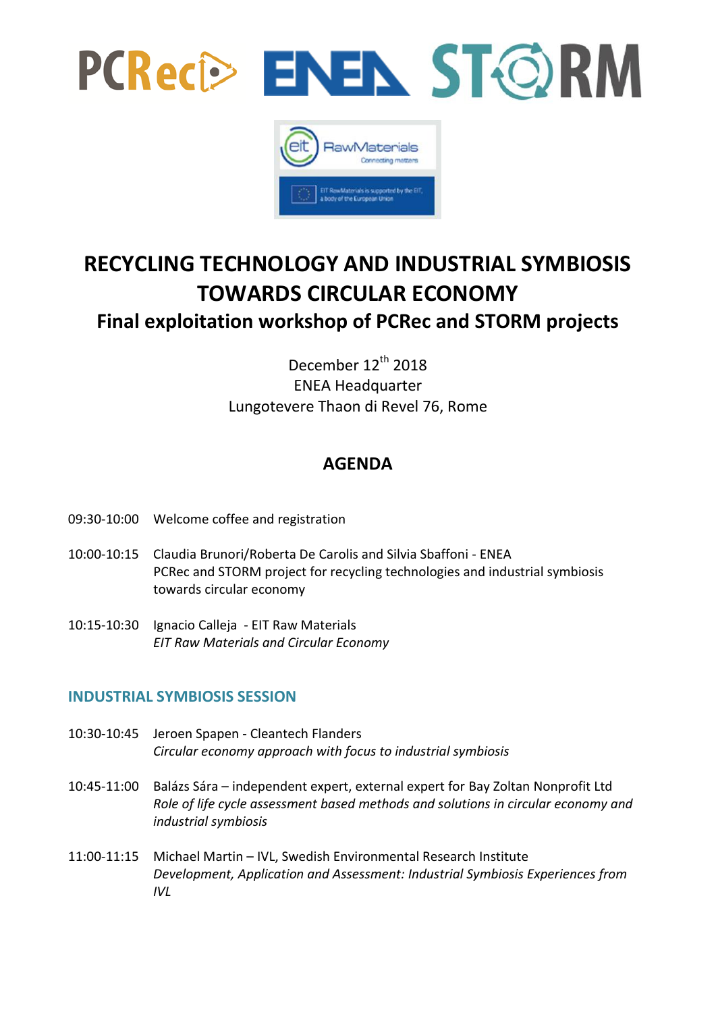



# **RECYCLING TECHNOLOGY AND INDUSTRIAL SYMBIOSIS TOWARDS CIRCULAR ECONOMY**

## **Final exploitation workshop of PCRec and STORM projects**

December 12<sup>th</sup> 2018 ENEA Headquarter Lungotevere Thaon di Revel 76, Rome

## **AGENDA**

- 09:30-10:00 Welcome coffee and registration
- 10:00-10:15 Claudia Brunori/Roberta De Carolis and Silvia Sbaffoni ENEA PCRec and STORM project for recycling technologies and industrial symbiosis towards circular economy
- 10:15-10:30 Ignacio Calleja EIT Raw Materials *EIT Raw Materials and Circular Economy*

### **INDUSTRIAL SYMBIOSIS SESSION**

- 10:30-10:45 Jeroen Spapen Cleantech Flanders *Circular economy approach with focus to industrial symbiosis*
- 10:45-11:00 Balázs Sára independent expert, external expert for Bay Zoltan Nonprofit Ltd *Role of life cycle assessment based methods and solutions in circular economy and industrial symbiosis*
- 11:00-11:15 Michael Martin IVL, Swedish Environmental Research Institute *Development, Application and Assessment: Industrial Symbiosis Experiences from IVL*